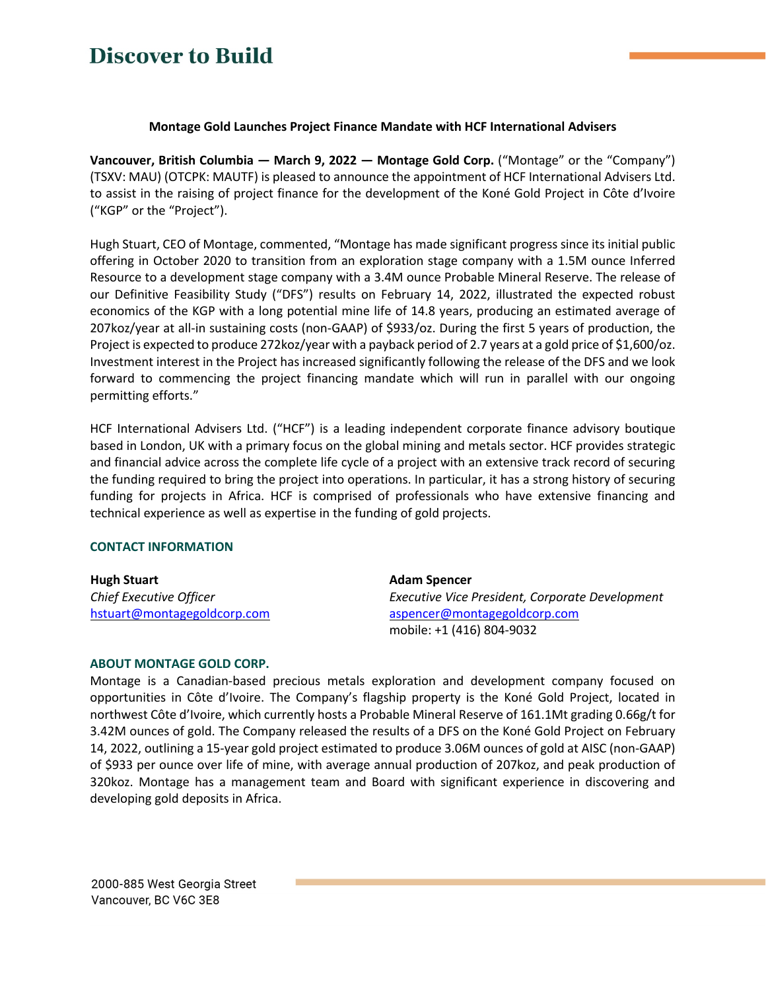# **Discover to Build**

### **Montage Gold Launches Project Finance Mandate with HCF International Advisers**

**Vancouver, British Columbia — March 9, 2022 — Montage Gold Corp.** ("Montage" or the "Company") (TSXV: MAU) (OTCPK: MAUTF) is pleased to announce the appointment of HCF International Advisers Ltd. to assist in the raising of project finance for the development of the Koné Gold Project in Côte d'Ivoire ("KGP" or the "Project").

Hugh Stuart, CEO of Montage, commented, "Montage has made significant progress since its initial public offering in October 2020 to transition from an exploration stage company with a 1.5M ounce Inferred Resource to a development stage company with a 3.4M ounce Probable Mineral Reserve. The release of our Definitive Feasibility Study ("DFS") results on February 14, 2022, illustrated the expected robust economics of the KGP with a long potential mine life of 14.8 years, producing an estimated average of 207koz/year at all-in sustaining costs (non-GAAP) of \$933/oz. During the first 5 years of production, the Project is expected to produce 272koz/year with a payback period of 2.7 years at a gold price of \$1,600/oz. Investment interest in the Project has increased significantly following the release of the DFS and we look forward to commencing the project financing mandate which will run in parallel with our ongoing permitting efforts."

HCF International Advisers Ltd. ("HCF") is a leading independent corporate finance advisory boutique based in London, UK with a primary focus on the global mining and metals sector. HCF provides strategic and financial advice across the complete life cycle of a project with an extensive track record of securing the funding required to bring the project into operations. In particular, it has a strong history of securing funding for projects in Africa. HCF is comprised of professionals who have extensive financing and technical experience as well as expertise in the funding of gold projects.

### **CONTACT INFORMATION**

| <b>Hugh Stuart</b>          | <b>Adam Spencer</b>                             |
|-----------------------------|-------------------------------------------------|
| Chief Executive Officer     | Executive Vice President, Corporate Development |
| hstuart@montagegoldcorp.com | aspencer@montagegoldcorp.com                    |
|                             | mobile: +1 (416) 804-9032                       |

### **ABOUT MONTAGE GOLD CORP.**

Montage is a Canadian-based precious metals exploration and development company focused on opportunities in Côte d'Ivoire. The Company's flagship property is the Koné Gold Project, located in northwest Côte d'Ivoire, which currently hosts a Probable Mineral Reserve of 161.1Mt grading 0.66g/t for 3.42M ounces of gold. The Company released the results of a DFS on the Koné Gold Project on February 14, 2022, outlining a 15-year gold project estimated to produce 3.06M ounces of gold at AISC (non-GAAP) of \$933 per ounce over life of mine, with average annual production of 207koz, and peak production of 320koz. Montage has a management team and Board with significant experience in discovering and developing gold deposits in Africa.

2000-885 West Georgia Street Vancouver, BC V6C 3E8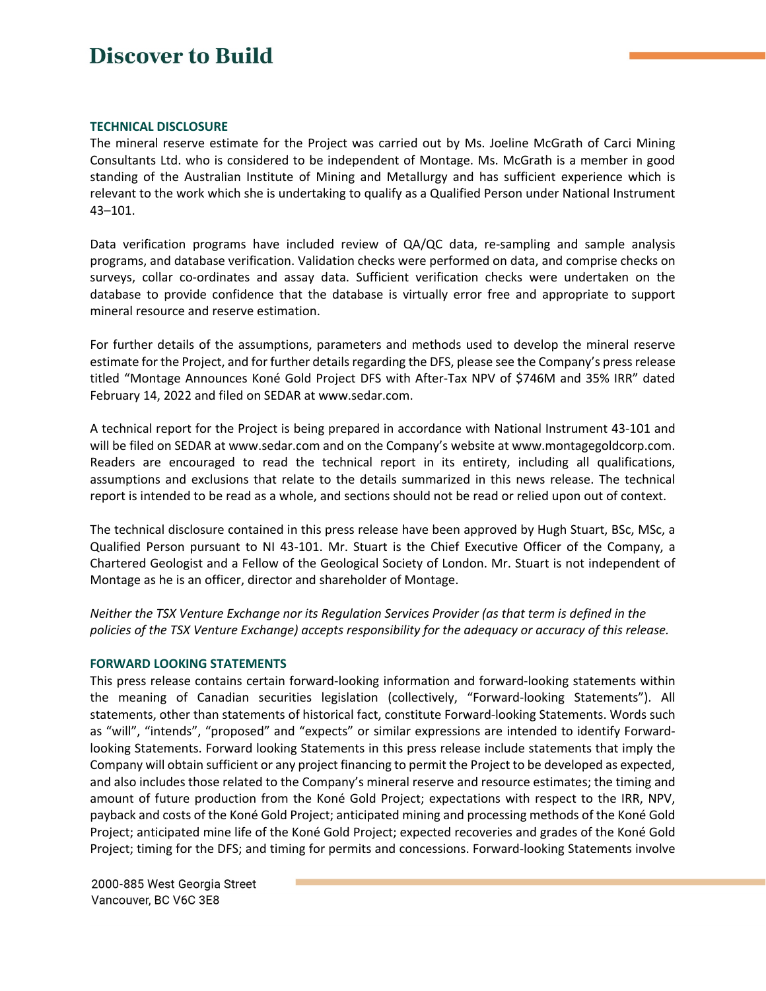## **Discover to Build**

#### **TECHNICAL DISCLOSURE**

The mineral reserve estimate for the Project was carried out by Ms. Joeline McGrath of Carci Mining Consultants Ltd. who is considered to be independent of Montage. Ms. McGrath is a member in good standing of the Australian Institute of Mining and Metallurgy and has sufficient experience which is relevant to the work which she is undertaking to qualify as a Qualified Person under National Instrument 43–101.

Data verification programs have included review of QA/QC data, re-sampling and sample analysis programs, and database verification. Validation checks were performed on data, and comprise checks on surveys, collar co-ordinates and assay data. Sufficient verification checks were undertaken on the database to provide confidence that the database is virtually error free and appropriate to support mineral resource and reserve estimation.

For further details of the assumptions, parameters and methods used to develop the mineral reserve estimate for the Project, and for further details regarding the DFS, please see the Company's press release titled "Montage Announces Koné Gold Project DFS with After-Tax NPV of \$746M and 35% IRR" dated February 14, 2022 and filed on SEDAR at www.sedar.com.

A technical report for the Project is being prepared in accordance with National Instrument 43-101 and will be filed on SEDAR at www.sedar.com and on the Company's website at www.montagegoldcorp.com. Readers are encouraged to read the technical report in its entirety, including all qualifications, assumptions and exclusions that relate to the details summarized in this news release. The technical report is intended to be read as a whole, and sections should not be read or relied upon out of context.

The technical disclosure contained in this press release have been approved by Hugh Stuart, BSc, MSc, a Qualified Person pursuant to NI 43-101. Mr. Stuart is the Chief Executive Officer of the Company, a Chartered Geologist and a Fellow of the Geological Society of London. Mr. Stuart is not independent of Montage as he is an officer, director and shareholder of Montage.

*Neither the TSX Venture Exchange nor its Regulation Services Provider (as that term is defined in the policies of the TSX Venture Exchange) accepts responsibility for the adequacy or accuracy of this release.*

### **FORWARD LOOKING STATEMENTS**

This press release contains certain forward-looking information and forward-looking statements within the meaning of Canadian securities legislation (collectively, "Forward-looking Statements"). All statements, other than statements of historical fact, constitute Forward-looking Statements. Words such as "will", "intends", "proposed" and "expects" or similar expressions are intended to identify Forwardlooking Statements. Forward looking Statements in this press release include statements that imply the Company will obtain sufficient or any project financing to permit the Project to be developed as expected, and also includes those related to the Company's mineral reserve and resource estimates; the timing and amount of future production from the Koné Gold Project; expectations with respect to the IRR, NPV, payback and costs of the Koné Gold Project; anticipated mining and processing methods of the Koné Gold Project; anticipated mine life of the Koné Gold Project; expected recoveries and grades of the Koné Gold Project; timing for the DFS; and timing for permits and concessions. Forward-looking Statements involve

2000-885 West Georgia Street Vancouver, BC V6C 3E8